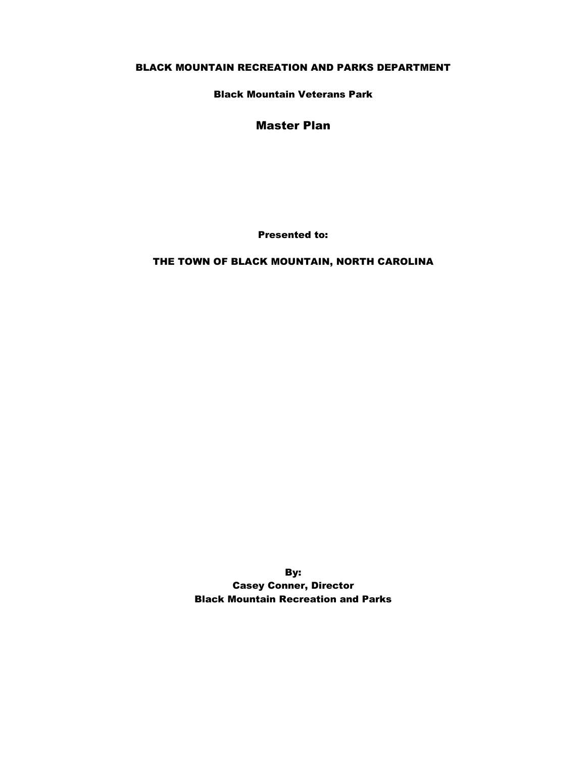#### BLACK MOUNTAIN RECREATION AND PARKS DEPARTMENT

Black Mountain Veterans Park

#### Master Plan

Presented to:

### THE TOWN OF BLACK MOUNTAIN, NORTH CAROLINA

By: Casey Conner, Director Black Mountain Recreation and Parks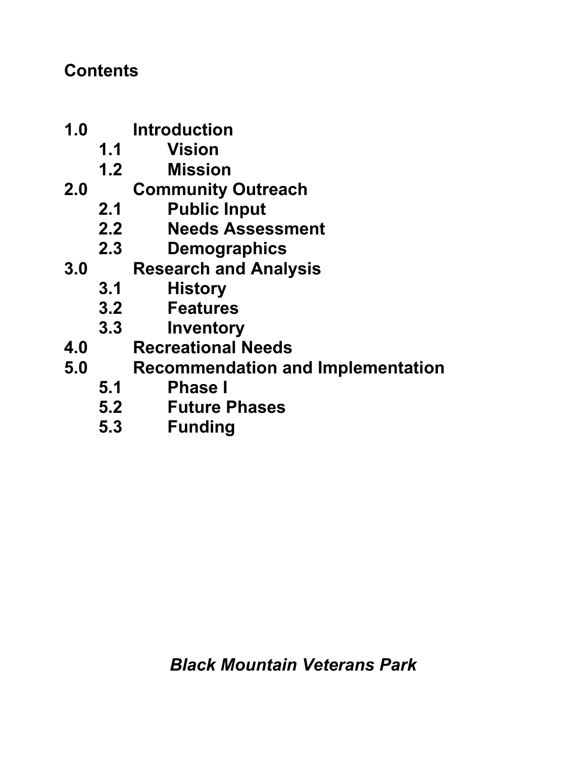## **Contents**

- **1.0 Introduction**
	- **1.1 Vision**
	- **1.2 Mission**
- **2.0 Community Outreach**
	- **2.1 Public Input**
	- **2.2 Needs Assessment**
	- **2.3 Demographics**
- **3.0 Research and Analysis**
	- **3.1 History**
	- **3.2 Features**
	- **3.3 Inventory**
- **4.0 Recreational Needs**
- **5.0 Recommendation and Implementation**
	-
	- **5.1 Phase I 5.2 Future Phases**
	- **5.3 Funding**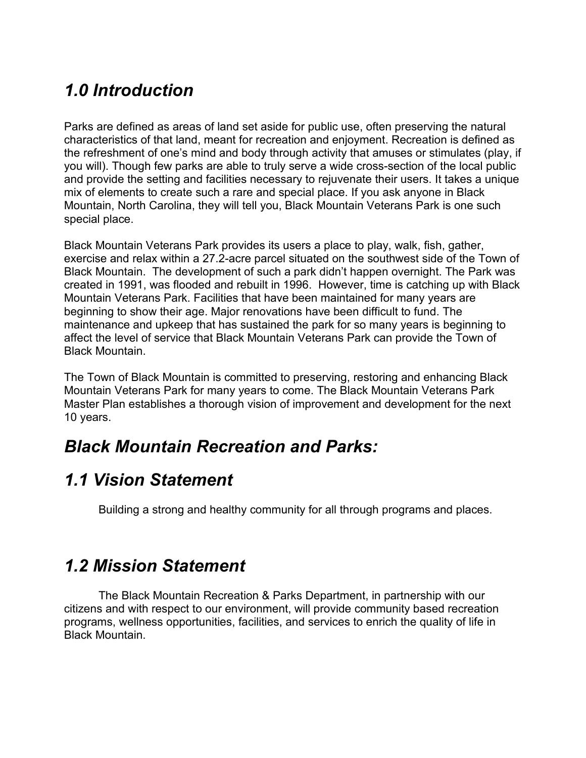# *1.0 Introduction*

Parks are defined as areas of land set aside for public use, often preserving the natural characteristics of that land, meant for recreation and enjoyment. Recreation is defined as the refreshment of one's mind and body through activity that amuses or stimulates (play, if you will). Though few parks are able to truly serve a wide cross-section of the local public and provide the setting and facilities necessary to rejuvenate their users. It takes a unique mix of elements to create such a rare and special place. If you ask anyone in Black Mountain, North Carolina, they will tell you, Black Mountain Veterans Park is one such special place.

Black Mountain Veterans Park provides its users a place to play, walk, fish, gather, exercise and relax within a 27.2-acre parcel situated on the southwest side of the Town of Black Mountain. The development of such a park didn't happen overnight. The Park was created in 1991, was flooded and rebuilt in 1996. However, time is catching up with Black Mountain Veterans Park. Facilities that have been maintained for many years are beginning to show their age. Major renovations have been difficult to fund. The maintenance and upkeep that has sustained the park for so many years is beginning to affect the level of service that Black Mountain Veterans Park can provide the Town of Black Mountain.

The Town of Black Mountain is committed to preserving, restoring and enhancing Black Mountain Veterans Park for many years to come. The Black Mountain Veterans Park Master Plan establishes a thorough vision of improvement and development for the next 10 years.

## *Black Mountain Recreation and Parks:*

## *1.1 Vision Statement*

Building a strong and healthy community for all through programs and places.

## *1.2 Mission Statement*

The Black Mountain Recreation & Parks Department, in partnership with our citizens and with respect to our environment, will provide community based recreation programs, wellness opportunities, facilities, and services to enrich the quality of life in Black Mountain.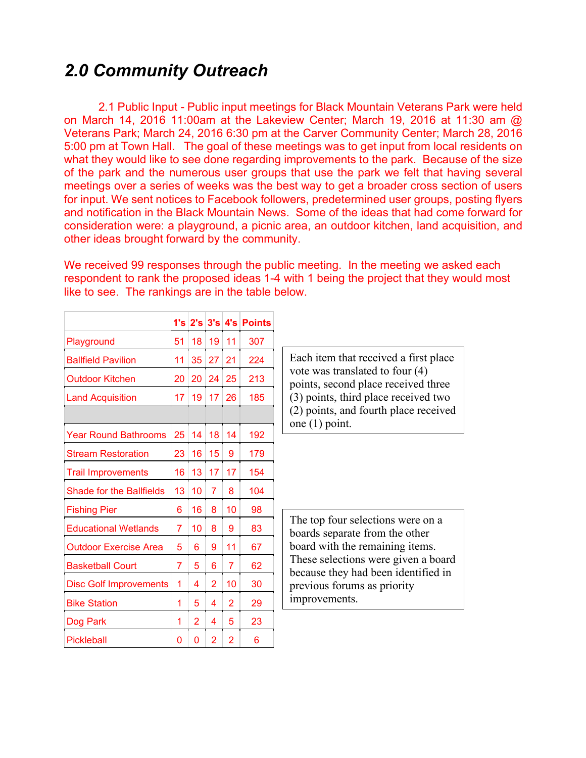## *2.0 Community Outreach*

2.1 Public Input - Public input meetings for Black Mountain Veterans Park were held on March 14, 2016 11:00am at the Lakeview Center; March 19, 2016 at 11:30 am @ Veterans Park; March 24, 2016 6:30 pm at the Carver Community Center; March 28, 2016 5:00 pm at Town Hall. The goal of these meetings was to get input from local residents on what they would like to see done regarding improvements to the park. Because of the size of the park and the numerous user groups that use the park we felt that having several meetings over a series of weeks was the best way to get a broader cross section of users for input. We sent notices to Facebook followers, predetermined user groups, posting flyers and notification in the Black Mountain News. Some of the ideas that had come forward for consideration were: a playground, a picnic area, an outdoor kitchen, land acquisition, and other ideas brought forward by the community.

We received 99 responses through the public meeting. In the meeting we asked each respondent to rank the proposed ideas 1-4 with 1 being the project that they would most like to see. The rankings are in the table below.

|                                 |    |    |                |    | 1's   2's   3's   4's   Points |
|---------------------------------|----|----|----------------|----|--------------------------------|
| Playground                      | 51 | 18 | 19             | 11 | 307                            |
| <b>Ballfield Pavilion</b>       | 11 | 35 | 27             | 21 | 224                            |
| <b>Outdoor Kitchen</b>          | 20 | 20 | 24             | 25 | 213                            |
| <b>Land Acquisition</b>         | 17 | 19 | 17             | 26 | 185                            |
|                                 |    |    |                |    |                                |
| <b>Year Round Bathrooms</b>     | 25 | 14 | 18             | 14 | 192                            |
| <b>Stream Restoration</b>       | 23 | 16 | 15             | 9  | 179                            |
| <b>Trail Improvements</b>       | 16 | 13 | 17             | 17 | 154                            |
| <b>Shade for the Ballfields</b> | 13 | 10 | 7              | 8  | 104                            |
| <b>Fishing Pier</b>             | 6  | 16 | 8              | 10 | 98                             |
| <b>Educational Wetlands</b>     | 7  | 10 | 8              | 9  | 83                             |
| <b>Outdoor Exercise Area</b>    | 5  | 6  | 9              | 11 | 67                             |
| <b>Basketball Court</b>         | 7  | 5  | 6              | 7  | 62                             |
| <b>Disc Golf Improvements</b>   | 1  | 4  | 2              | 10 | 30                             |
| <b>Bike Station</b>             | 1  | 5  | 4              | 2  | 29                             |
| Dog Park                        | 1  | 2  | 4              | 5  | 23                             |
| Pickleball                      | 0  | 0  | $\overline{2}$ | 2  | 6                              |

Each item that received a first place vote was translated to four (4) points, second place received three (3) points, third place received two (2) points, and fourth place received one (1) point.

The top four selections were on a boards separate from the other board with the remaining items. These selections were given a board because they had been identified in previous forums as priority improvements.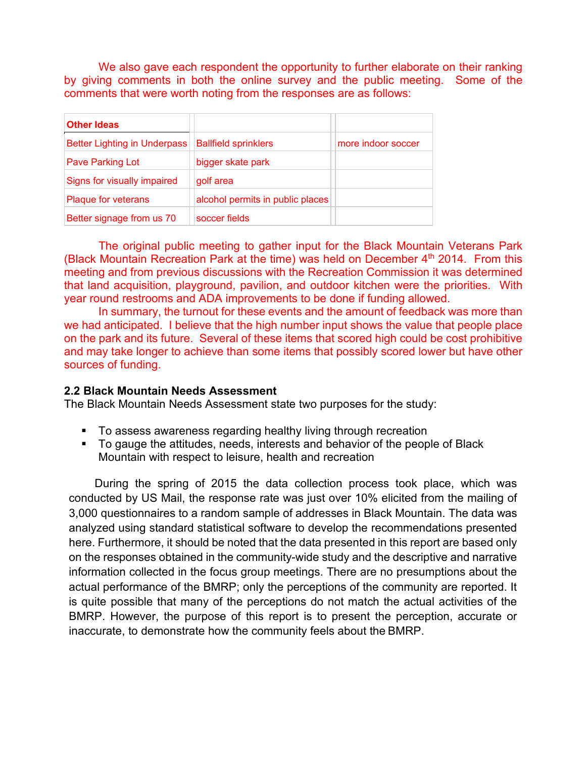We also gave each respondent the opportunity to further elaborate on their ranking by giving comments in both the online survey and the public meeting. Some of the comments that were worth noting from the responses are as follows:

| <b>Other Ideas</b>                  |                                  |                    |
|-------------------------------------|----------------------------------|--------------------|
| <b>Better Lighting in Underpass</b> | <b>Ballfield sprinklers</b>      | more indoor soccer |
| <b>Pave Parking Lot</b>             | bigger skate park                |                    |
| Signs for visually impaired         | golf area                        |                    |
| <b>Plaque for veterans</b>          | alcohol permits in public places |                    |
| Better signage from us 70           | soccer fields                    |                    |

The original public meeting to gather input for the Black Mountain Veterans Park (Black Mountain Recreation Park at the time) was held on December  $4<sup>th</sup>$  2014. From this meeting and from previous discussions with the Recreation Commission it was determined that land acquisition, playground, pavilion, and outdoor kitchen were the priorities. With year round restrooms and ADA improvements to be done if funding allowed.

In summary, the turnout for these events and the amount of feedback was more than we had anticipated. I believe that the high number input shows the value that people place on the park and its future. Several of these items that scored high could be cost prohibitive and may take longer to achieve than some items that possibly scored lower but have other sources of funding.

### **2.2 Black Mountain Needs Assessment**

The Black Mountain Needs Assessment state two purposes for the study:

- To assess awareness regarding healthy living through recreation
- To gauge the attitudes, needs, interests and behavior of the people of Black Mountain with respect to leisure, health and recreation

During the spring of 2015 the data collection process took place, which was conducted by US Mail, the response rate was just over 10% elicited from the mailing of 3,000 questionnaires to a random sample of addresses in Black Mountain. The data was analyzed using standard statistical software to develop the recommendations presented here. Furthermore, it should be noted that the data presented in this report are based only on the responses obtained in the community-wide study and the descriptive and narrative information collected in the focus group meetings. There are no presumptions about the actual performance of the BMRP; only the perceptions of the community are reported. It is quite possible that many of the perceptions do not match the actual activities of the BMRP. However, the purpose of this report is to present the perception, accurate or inaccurate, to demonstrate how the community feels about the BMRP.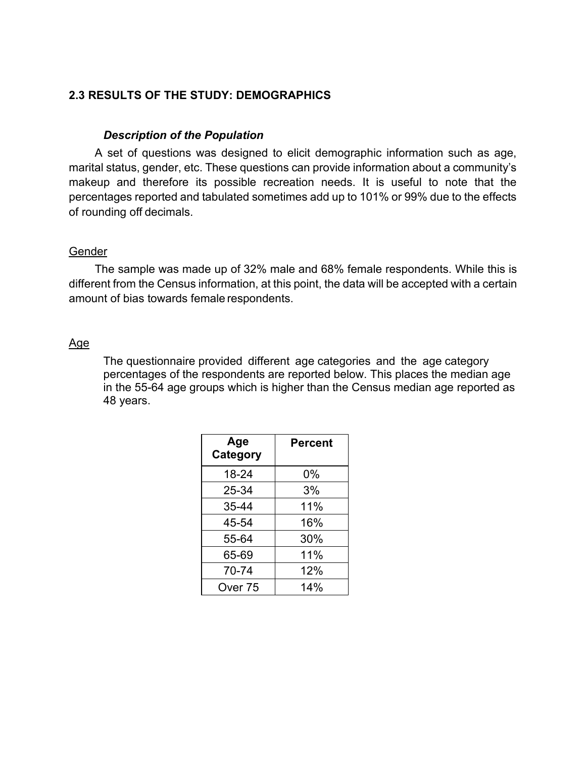## **2.3 RESULTS OF THE STUDY: DEMOGRAPHICS**

#### *Description of the Population*

A set of questions was designed to elicit demographic information such as age, marital status, gender, etc. These questions can provide information about a community's makeup and therefore its possible recreation needs. It is useful to note that the percentages reported and tabulated sometimes add up to 101% or 99% due to the effects of rounding off decimals.

#### Gender

The sample was made up of 32% male and 68% female respondents. While this is different from the Census information, at this point, the data will be accepted with a certain amount of bias towards female respondents.

### Age

The questionnaire provided different age categories and the age category percentages of the respondents are reported below. This places the median age in the 55-64 age groups which is higher than the Census median age reported as 48 years.

| Age<br>Category | Percent |
|-----------------|---------|
| 18-24           | 0%      |
| 25-34           | 3%      |
| 35-44           | 11%     |
| 45-54           | 16%     |
| 55-64           | 30%     |
| 65-69           | 11%     |
| 70-74           | 12%     |
| Over 75         | 14%     |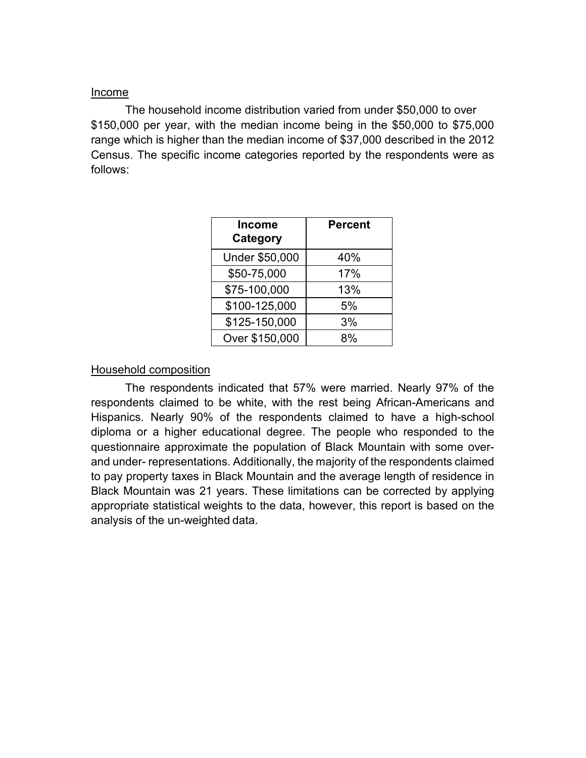### Income

The household income distribution varied from under \$50,000 to over \$150,000 per year, with the median income being in the \$50,000 to \$75,000 range which is higher than the median income of \$37,000 described in the 2012 Census. The specific income categories reported by the respondents were as follows:

| <b>Income</b><br>Category | <b>Percent</b> |
|---------------------------|----------------|
| Under \$50,000            | 40%            |
| \$50-75,000               | 17%            |
| \$75-100,000              | 13%            |
| \$100-125,000             | 5%             |
| \$125-150,000             | 3%             |
| Over \$150,000            |                |

### Household composition

The respondents indicated that 57% were married. Nearly 97% of the respondents claimed to be white, with the rest being African-Americans and Hispanics. Nearly 90% of the respondents claimed to have a high-school diploma or a higher educational degree. The people who responded to the questionnaire approximate the population of Black Mountain with some overand under- representations. Additionally, the majority of the respondents claimed to pay property taxes in Black Mountain and the average length of residence in Black Mountain was 21 years. These limitations can be corrected by applying appropriate statistical weights to the data, however, this report is based on the analysis of the un-weighted data.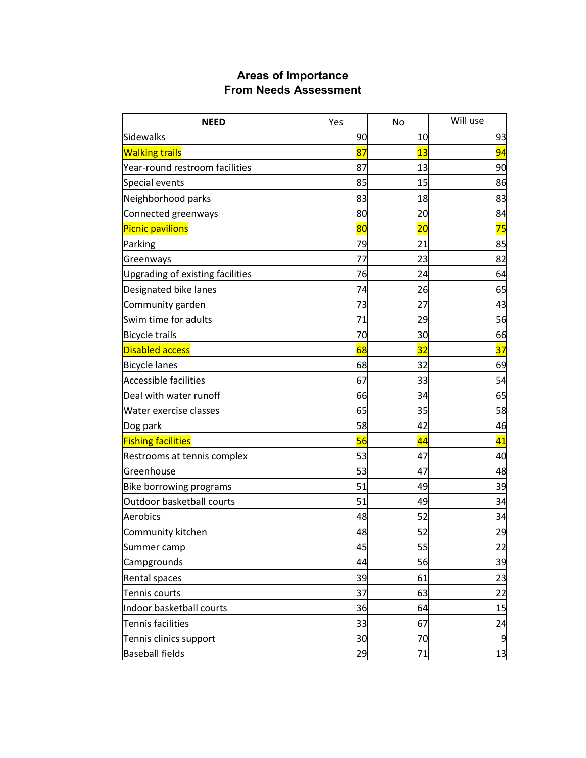## **Areas of Importance From Needs Assessment**

| <b>NEED</b>                      | Yes | No              | Will use |
|----------------------------------|-----|-----------------|----------|
| <b>Sidewalks</b>                 | 90  | 10              | 93       |
| <b>Walking trails</b>            | 87  | 13              | 94       |
| Year-round restroom facilities   | 87  | 13              | 90       |
| Special events                   | 85  | 15              | 86       |
| Neighborhood parks               | 83  | 18              | 83       |
| Connected greenways              | 80  | 20              | 84       |
| <b>Picnic pavilions</b>          | 80  | $\overline{20}$ | 75       |
| Parking                          | 79  | 21              | 85       |
| Greenways                        | 77  | 23              | 82       |
| Upgrading of existing facilities | 76  | 24              | 64       |
| Designated bike lanes            | 74  | 26              | 65       |
| Community garden                 | 73  | 27              | 43       |
| Swim time for adults             | 71  | 29              | 56       |
| <b>Bicycle trails</b>            | 70  | 30              | 66       |
| <b>Disabled access</b>           | 68  | 32              | 37       |
| <b>Bicycle lanes</b>             | 68  | 32              | 69       |
| <b>Accessible facilities</b>     | 67  | 33              | 54       |
| Deal with water runoff           | 66  | 34              | 65       |
| Water exercise classes           | 65  | 35              | 58       |
| Dog park                         | 58  | 42              | 46       |
| <b>Fishing facilities</b>        | 56  | 44              | 41       |
| Restrooms at tennis complex      | 53  | 47              | 40       |
| Greenhouse                       | 53  | 47              | 48       |
| <b>Bike borrowing programs</b>   | 51  | 49              | 39       |
| Outdoor basketball courts        | 51  | 49              | 34       |
| Aerobics                         | 48  | 52              | 34       |
| Community kitchen                | 48  | 52              | 29       |
| Summer camp                      | 45  | 55              | 22       |
| Campgrounds                      | 44  | 56              | 39       |
| Rental spaces                    | 39  | 61              | 23       |
| Tennis courts                    | 37  | 63              | 22       |
| Indoor basketball courts         | 36  | 64              | 15       |
| Tennis facilities                | 33  | 67              | 24       |
| Tennis clinics support           | 30  | 70              | 9        |
| <b>Baseball fields</b>           | 29  | 71              | 13       |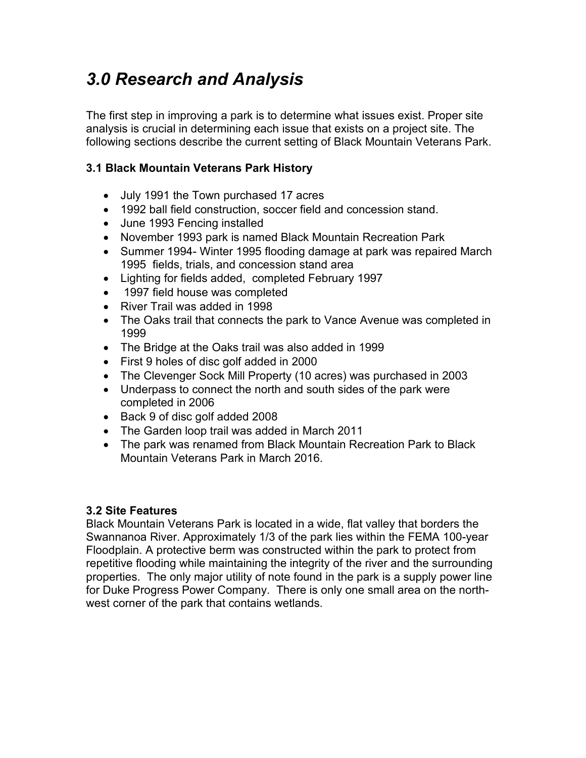# *3.0 Research and Analysis*

The first step in improving a park is to determine what issues exist. Proper site analysis is crucial in determining each issue that exists on a project site. The following sections describe the current setting of Black Mountain Veterans Park.

## **3.1 Black Mountain Veterans Park History**

- July 1991 the Town purchased 17 acres
- 1992 ball field construction, soccer field and concession stand.
- June 1993 Fencing installed
- November 1993 park is named Black Mountain Recreation Park
- Summer 1994- Winter 1995 flooding damage at park was repaired March 1995 fields, trials, and concession stand area
- Lighting for fields added, completed February 1997
- 1997 field house was completed
- River Trail was added in 1998
- The Oaks trail that connects the park to Vance Avenue was completed in 1999
- The Bridge at the Oaks trail was also added in 1999
- First 9 holes of disc golf added in 2000
- The Clevenger Sock Mill Property (10 acres) was purchased in 2003
- Underpass to connect the north and south sides of the park were completed in 2006
- Back 9 of disc golf added 2008
- The Garden loop trail was added in March 2011
- The park was renamed from Black Mountain Recreation Park to Black Mountain Veterans Park in March 2016.

## **3.2 Site Features**

Black Mountain Veterans Park is located in a wide, flat valley that borders the Swannanoa River. Approximately 1/3 of the park lies within the FEMA 100-year Floodplain. A protective berm was constructed within the park to protect from repetitive flooding while maintaining the integrity of the river and the surrounding properties. The only major utility of note found in the park is a supply power line for Duke Progress Power Company. There is only one small area on the northwest corner of the park that contains wetlands.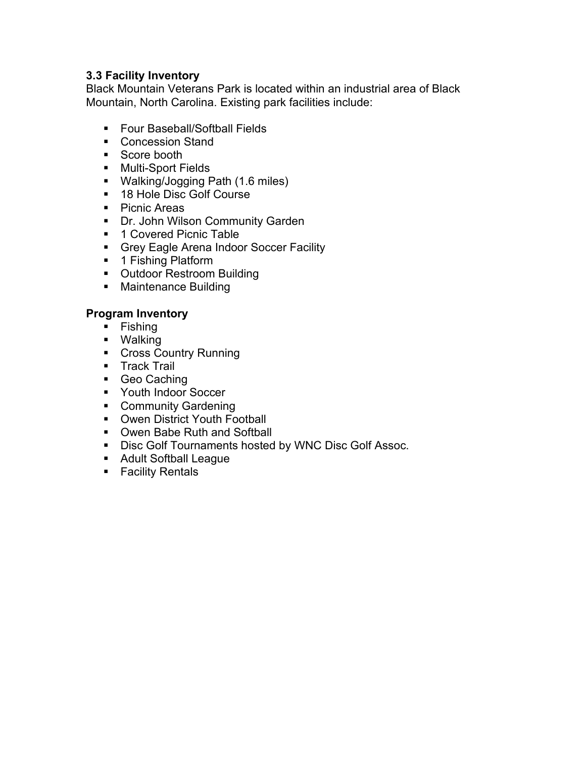## **3.3 Facility Inventory**

Black Mountain Veterans Park is located within an industrial area of Black Mountain, North Carolina. Existing park facilities include:

- **Four Baseball/Softball Fields**
- Concession Stand
- Score booth
- **Nulti-Sport Fields**
- Walking/Jogging Path (1.6 miles)
- **18 Hole Disc Golf Course**
- Picnic Areas
- **Dr. John Wilson Community Garden**
- 1 Covered Picnic Table
- **Grey Eagle Arena Indoor Soccer Facility**
- 1 Fishing Platform
- **Outdoor Restroom Building**
- **Maintenance Building**

### **Program Inventory**

- $\blacksquare$  Fishing
- Walking
- **Cross Country Running**
- **Track Trail**
- Geo Caching
- **Youth Indoor Soccer**
- **Community Gardening**
- **Owen District Youth Football**
- **Owen Babe Ruth and Softball**
- **Disc Golf Tournaments hosted by WNC Disc Golf Assoc.**
- **Adult Softball League**
- **Facility Rentals**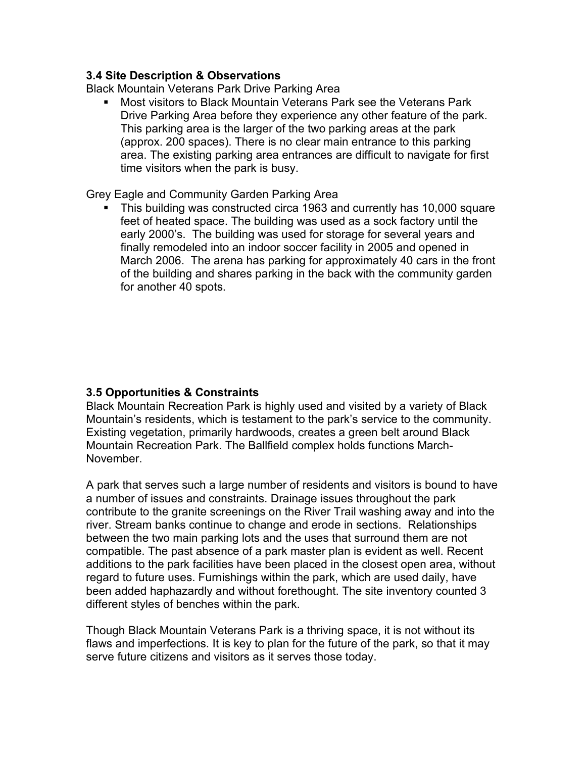### **3.4 Site Description & Observations**

Black Mountain Veterans Park Drive Parking Area

 Most visitors to Black Mountain Veterans Park see the Veterans Park Drive Parking Area before they experience any other feature of the park. This parking area is the larger of the two parking areas at the park (approx. 200 spaces). There is no clear main entrance to this parking area. The existing parking area entrances are difficult to navigate for first time visitors when the park is busy.

Grey Eagle and Community Garden Parking Area

• This building was constructed circa 1963 and currently has 10,000 square feet of heated space. The building was used as a sock factory until the early 2000's. The building was used for storage for several years and finally remodeled into an indoor soccer facility in 2005 and opened in March 2006. The arena has parking for approximately 40 cars in the front of the building and shares parking in the back with the community garden for another 40 spots.

## **3.5 Opportunities & Constraints**

Black Mountain Recreation Park is highly used and visited by a variety of Black Mountain's residents, which is testament to the park's service to the community. Existing vegetation, primarily hardwoods, creates a green belt around Black Mountain Recreation Park. The Ballfield complex holds functions March-November.

A park that serves such a large number of residents and visitors is bound to have a number of issues and constraints. Drainage issues throughout the park contribute to the granite screenings on the River Trail washing away and into the river. Stream banks continue to change and erode in sections. Relationships between the two main parking lots and the uses that surround them are not compatible. The past absence of a park master plan is evident as well. Recent additions to the park facilities have been placed in the closest open area, without regard to future uses. Furnishings within the park, which are used daily, have been added haphazardly and without forethought. The site inventory counted 3 different styles of benches within the park.

Though Black Mountain Veterans Park is a thriving space, it is not without its flaws and imperfections. It is key to plan for the future of the park, so that it may serve future citizens and visitors as it serves those today.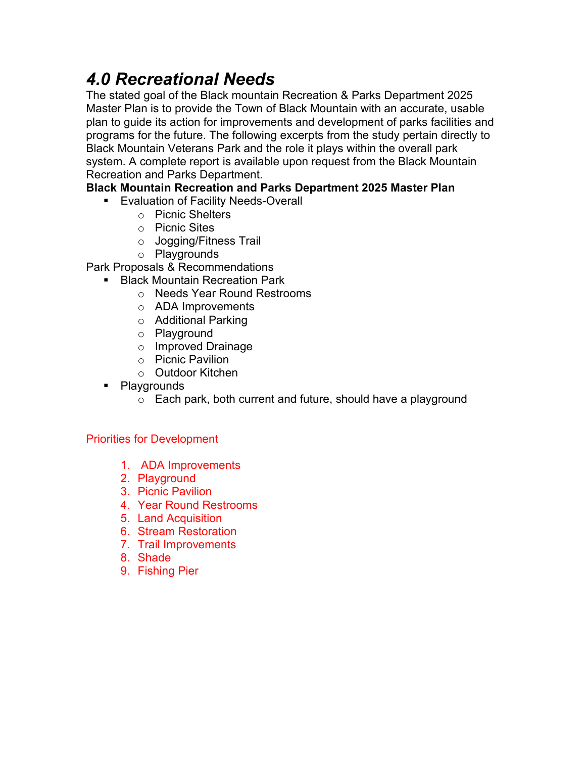# *4.0 Recreational Needs*

The stated goal of the Black mountain Recreation & Parks Department 2025 Master Plan is to provide the Town of Black Mountain with an accurate, usable plan to guide its action for improvements and development of parks facilities and programs for the future. The following excerpts from the study pertain directly to Black Mountain Veterans Park and the role it plays within the overall park system. A complete report is available upon request from the Black Mountain Recreation and Parks Department.

## **Black Mountain Recreation and Parks Department 2025 Master Plan**

- **Evaluation of Facility Needs-Overall** 
	- o Picnic Shelters
	- o Picnic Sites
	- o Jogging/Fitness Trail
	- o Playgrounds
- Park Proposals & Recommendations
	- **Black Mountain Recreation Park** 
		- o Needs Year Round Restrooms
		- o ADA Improvements
		- o Additional Parking
		- o Playground
		- o Improved Drainage
		- o Picnic Pavilion
		- o Outdoor Kitchen
	- Playgrounds
		- o Each park, both current and future, should have a playground

## Priorities for Development

- 1. ADA Improvements
- 2. Playground
- 3. Picnic Pavilion
- 4. Year Round Restrooms
- 5. Land Acquisition
- 6. Stream Restoration
- 7. Trail Improvements
- 8. Shade
- 9. Fishing Pier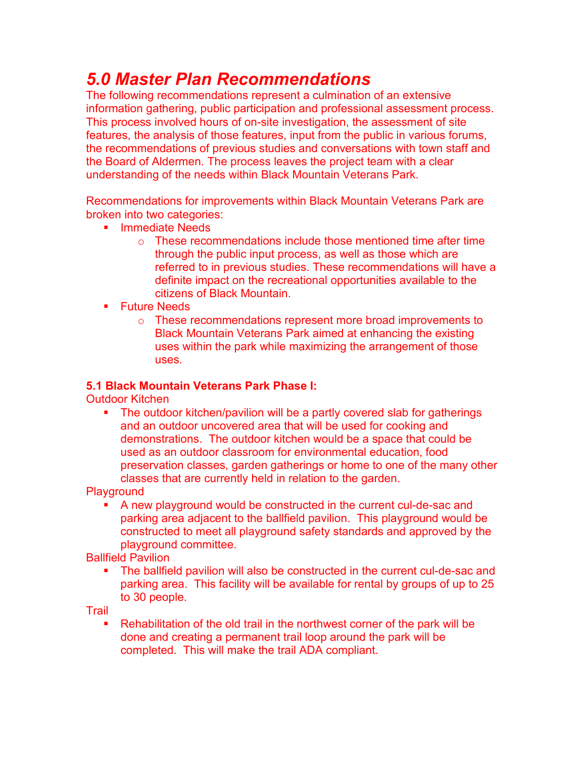# *5.0 Master Plan Recommendations*

The following recommendations represent a culmination of an extensive information gathering, public participation and professional assessment process. This process involved hours of on-site investigation, the assessment of site features, the analysis of those features, input from the public in various forums, the recommendations of previous studies and conversations with town staff and the Board of Aldermen. The process leaves the project team with a clear understanding of the needs within Black Mountain Veterans Park.

Recommendations for improvements within Black Mountain Veterans Park are broken into two categories:

- **Immediate Needs** 
	- o These recommendations include those mentioned time after time through the public input process, as well as those which are referred to in previous studies. These recommendations will have a definite impact on the recreational opportunities available to the citizens of Black Mountain.
- **Future Needs** 
	- o These recommendations represent more broad improvements to Black Mountain Veterans Park aimed at enhancing the existing uses within the park while maximizing the arrangement of those uses.

## **5.1 Black Mountain Veterans Park Phase I:**

Outdoor Kitchen

 The outdoor kitchen/pavilion will be a partly covered slab for gatherings and an outdoor uncovered area that will be used for cooking and demonstrations. The outdoor kitchen would be a space that could be used as an outdoor classroom for environmental education, food preservation classes, garden gatherings or home to one of the many other classes that are currently held in relation to the garden.

**Playground** 

A new playground would be constructed in the current cul-de-sac and parking area adjacent to the ballfield pavilion. This playground would be constructed to meet all playground safety standards and approved by the playground committee.

Ballfield Pavilion

 The ballfield pavilion will also be constructed in the current cul-de-sac and parking area. This facility will be available for rental by groups of up to 25 to 30 people.

**Trail** 

 Rehabilitation of the old trail in the northwest corner of the park will be done and creating a permanent trail loop around the park will be completed. This will make the trail ADA compliant.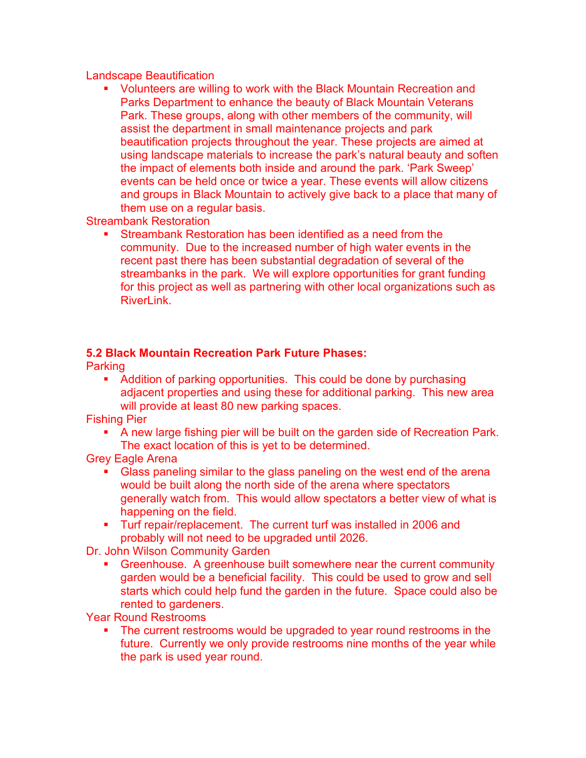### Landscape Beautification

 Volunteers are willing to work with the Black Mountain Recreation and Parks Department to enhance the beauty of Black Mountain Veterans Park. These groups, along with other members of the community, will assist the department in small maintenance projects and park beautification projects throughout the year. These projects are aimed at using landscape materials to increase the park's natural beauty and soften the impact of elements both inside and around the park. 'Park Sweep' events can be held once or twice a year. These events will allow citizens and groups in Black Mountain to actively give back to a place that many of them use on a regular basis.

Streambank Restoration

 Streambank Restoration has been identified as a need from the community. Due to the increased number of high water events in the recent past there has been substantial degradation of several of the streambanks in the park. We will explore opportunities for grant funding for this project as well as partnering with other local organizations such as RiverLink.

### **5.2 Black Mountain Recreation Park Future Phases:**

**Parking** 

• Addition of parking opportunities. This could be done by purchasing adjacent properties and using these for additional parking. This new area will provide at least 80 new parking spaces.

Fishing Pier

 A new large fishing pier will be built on the garden side of Recreation Park. The exact location of this is yet to be determined.

Grey Eagle Arena

- Glass paneling similar to the glass paneling on the west end of the arena would be built along the north side of the arena where spectators generally watch from. This would allow spectators a better view of what is happening on the field.
- **Turf repair/replacement. The current turf was installed in 2006 and** probably will not need to be upgraded until 2026.

Dr. John Wilson Community Garden

**Simeler** Greenhouse. A greenhouse built somewhere near the current community garden would be a beneficial facility. This could be used to grow and sell starts which could help fund the garden in the future. Space could also be rented to gardeners.

Year Round Restrooms

 The current restrooms would be upgraded to year round restrooms in the future. Currently we only provide restrooms nine months of the year while the park is used year round.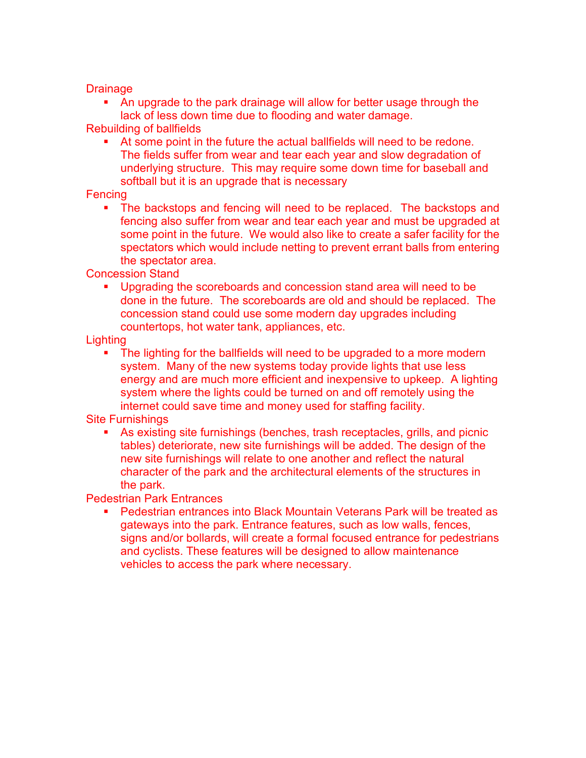### **Drainage**

 An upgrade to the park drainage will allow for better usage through the lack of less down time due to flooding and water damage.

Rebuilding of ballfields

 At some point in the future the actual ballfields will need to be redone. The fields suffer from wear and tear each year and slow degradation of underlying structure. This may require some down time for baseball and softball but it is an upgrade that is necessary

### **Fencing**

 The backstops and fencing will need to be replaced. The backstops and fencing also suffer from wear and tear each year and must be upgraded at some point in the future. We would also like to create a safer facility for the spectators which would include netting to prevent errant balls from entering the spectator area.

Concession Stand

 Upgrading the scoreboards and concession stand area will need to be done in the future. The scoreboards are old and should be replaced. The concession stand could use some modern day upgrades including countertops, hot water tank, appliances, etc.

### **Lighting**

 The lighting for the ballfields will need to be upgraded to a more modern system. Many of the new systems today provide lights that use less energy and are much more efficient and inexpensive to upkeep. A lighting system where the lights could be turned on and off remotely using the internet could save time and money used for staffing facility.

### Site Furnishings

 As existing site furnishings (benches, trash receptacles, grills, and picnic tables) deteriorate, new site furnishings will be added. The design of the new site furnishings will relate to one another and reflect the natural character of the park and the architectural elements of the structures in the park.

### Pedestrian Park Entrances

 Pedestrian entrances into Black Mountain Veterans Park will be treated as gateways into the park. Entrance features, such as low walls, fences, signs and/or bollards, will create a formal focused entrance for pedestrians and cyclists. These features will be designed to allow maintenance vehicles to access the park where necessary.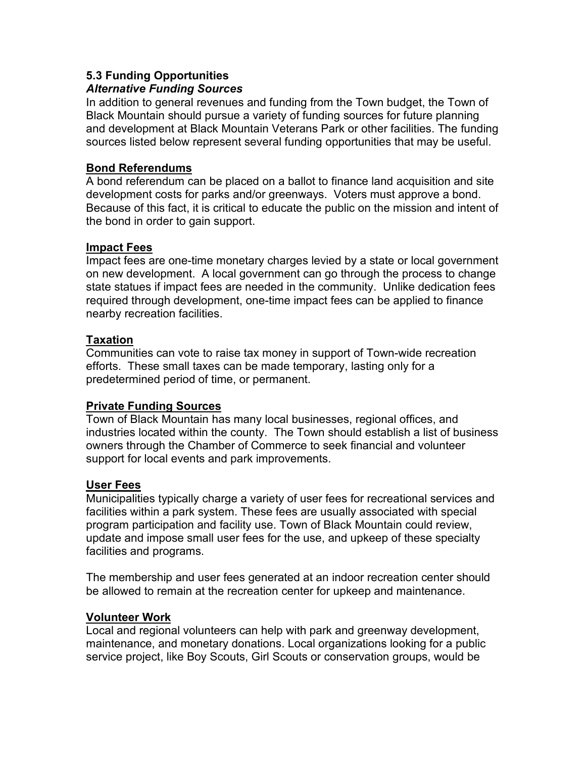## **5.3 Funding Opportunities**

### *Alternative Funding Sources*

In addition to general revenues and funding from the Town budget, the Town of Black Mountain should pursue a variety of funding sources for future planning and development at Black Mountain Veterans Park or other facilities. The funding sources listed below represent several funding opportunities that may be useful.

### **Bond Referendums**

A bond referendum can be placed on a ballot to finance land acquisition and site development costs for parks and/or greenways. Voters must approve a bond. Because of this fact, it is critical to educate the public on the mission and intent of the bond in order to gain support.

### **Impact Fees**

Impact fees are one-time monetary charges levied by a state or local government on new development. A local government can go through the process to change state statues if impact fees are needed in the community. Unlike dedication fees required through development, one-time impact fees can be applied to finance nearby recreation facilities.

### **Taxation**

Communities can vote to raise tax money in support of Town-wide recreation efforts. These small taxes can be made temporary, lasting only for a predetermined period of time, or permanent.

## **Private Funding Sources**

Town of Black Mountain has many local businesses, regional offices, and industries located within the county. The Town should establish a list of business owners through the Chamber of Commerce to seek financial and volunteer support for local events and park improvements.

### **User Fees**

Municipalities typically charge a variety of user fees for recreational services and facilities within a park system. These fees are usually associated with special program participation and facility use. Town of Black Mountain could review, update and impose small user fees for the use, and upkeep of these specialty facilities and programs.

The membership and user fees generated at an indoor recreation center should be allowed to remain at the recreation center for upkeep and maintenance.

### **Volunteer Work**

Local and regional volunteers can help with park and greenway development, maintenance, and monetary donations. Local organizations looking for a public service project, like Boy Scouts, Girl Scouts or conservation groups, would be